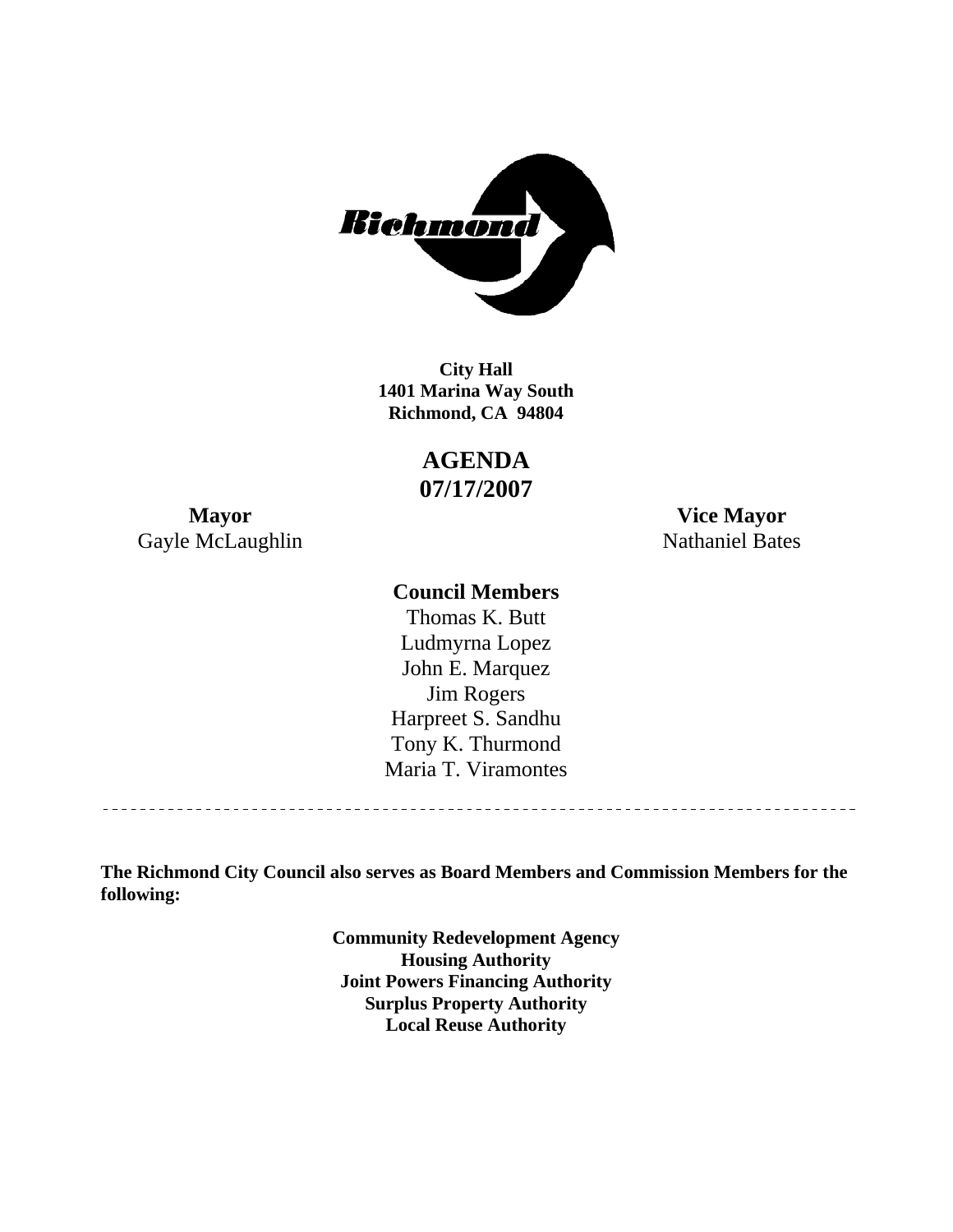

**1401 Marina Way South Richmond, CA 94804 City Hall** 

> **AGENDA 07/17/2007**

Gayle McLaughlin Nathaniel Bates

**Mayor Vice Mayor** 

#### **Council Members**

Harpreet S. Sandhu Tony K. Thurmond Maria T. Viramontes Thomas K. Butt Ludmyrna Lopez John E. Marquez Jim Rogers

**The Richmond City Council also serves as Board Members and Commission Members for the following:** 

> **Community Redevelopment Agency Housing Authority Joint Powers Financing Authority Surplus Property Authority Local Reuse Authority**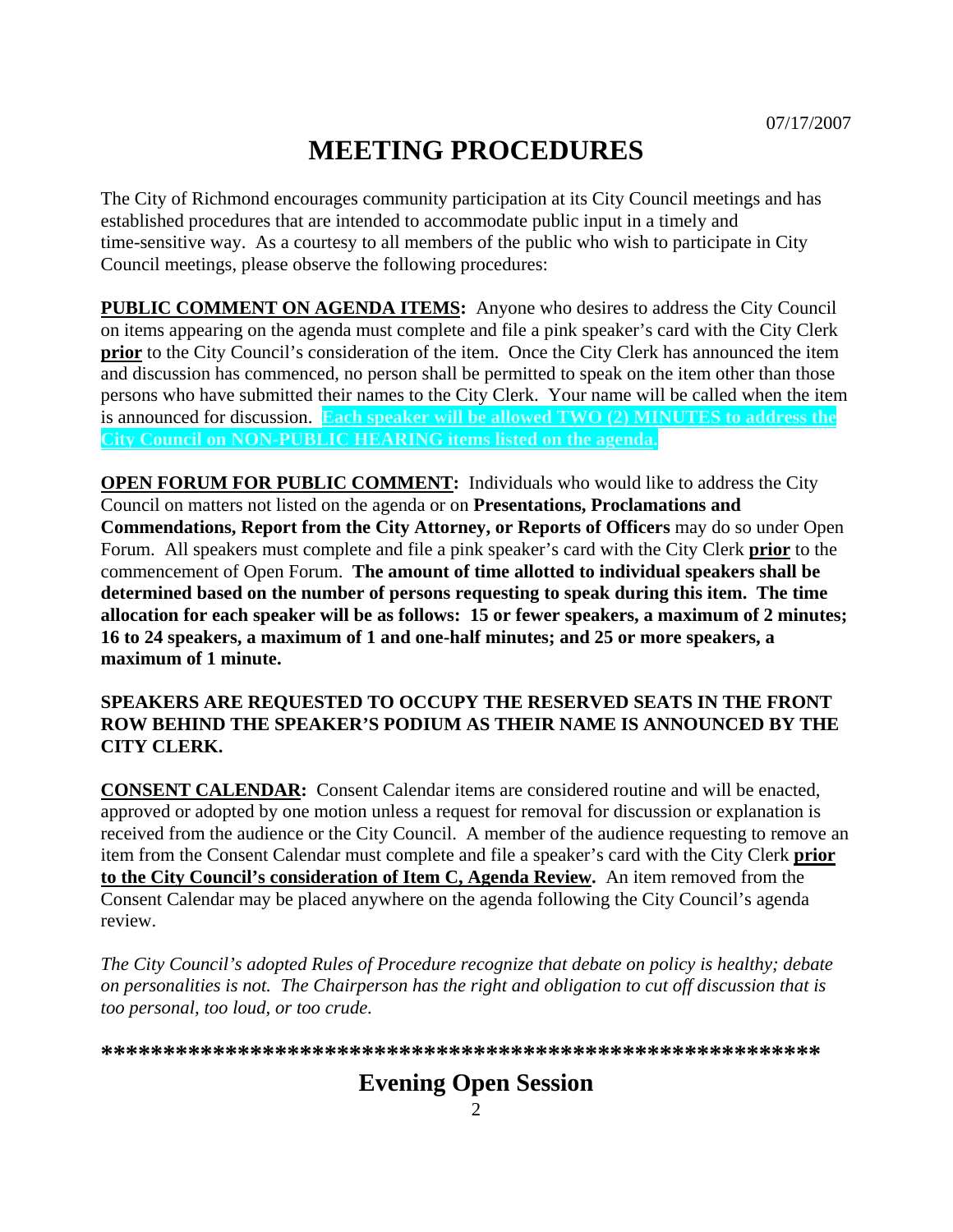# **MEETING PROCEDURES**

The City of Richmond encourages community participation at its City Council meetings and has established procedures that are intended to accommodate public input in a timely and time-sensitive way. As a courtesy to all members of the public who wish to participate in City Council meetings, please observe the following procedures:

**PUBLIC COMMENT ON AGENDA ITEMS:** Anyone who desires to address the City Council on items appearing on the agenda must complete and file a pink speaker's card with the City Clerk **prior** to the City Council's consideration of the item. Once the City Clerk has announced the item and discussion has commenced, no person shall be permitted to speak on the item other than those persons who have submitted their names to the City Clerk. Your name will be called when the item is announced for discussion. **Each speaker will be allowed TWO (2) MINUTES to address the City Council on NON-PUBLIC HEARING items listed on the agenda.** 

**OPEN FORUM FOR PUBLIC COMMENT:** Individuals who would like to address the City Council on matters not listed on the agenda or on **Presentations, Proclamations and Commendations, Report from the City Attorney, or Reports of Officers** may do so under Open Forum. All speakers must complete and file a pink speaker's card with the City Clerk **prior** to the commencement of Open Forum. **The amount of time allotted to individual speakers shall be determined based on the number of persons requesting to speak during this item. The time allocation for each speaker will be as follows: 15 or fewer speakers, a maximum of 2 minutes; 16 to 24 speakers, a maximum of 1 and one-half minutes; and 25 or more speakers, a maximum of 1 minute.** 

#### **SPEAKERS ARE REQUESTED TO OCCUPY THE RESERVED SEATS IN THE FRONT ROW BEHIND THE SPEAKER'S PODIUM AS THEIR NAME IS ANNOUNCED BY THE CITY CLERK.**

**CONSENT CALENDAR:** Consent Calendar items are considered routine and will be enacted, approved or adopted by one motion unless a request for removal for discussion or explanation is received from the audience or the City Council. A member of the audience requesting to remove an item from the Consent Calendar must complete and file a speaker's card with the City Clerk **prior to the City Council's consideration of Item C, Agenda Review.** An item removed from the Consent Calendar may be placed anywhere on the agenda following the City Council's agenda review.

*The City Council's adopted Rules of Procedure recognize that debate on policy is healthy; debate on personalities is not. The Chairperson has the right and obligation to cut off discussion that is too personal, too loud, or too crude.* 

**\*\*\*\*\*\*\*\*\*\*\*\*\*\*\*\*\*\*\*\*\*\*\*\*\*\*\*\*\*\*\*\*\*\*\*\*\*\*\*\*\*\*\*\*\*\*\*\*\*\*\*\*\*\*\*\*\*\***

## **Evening Open Session**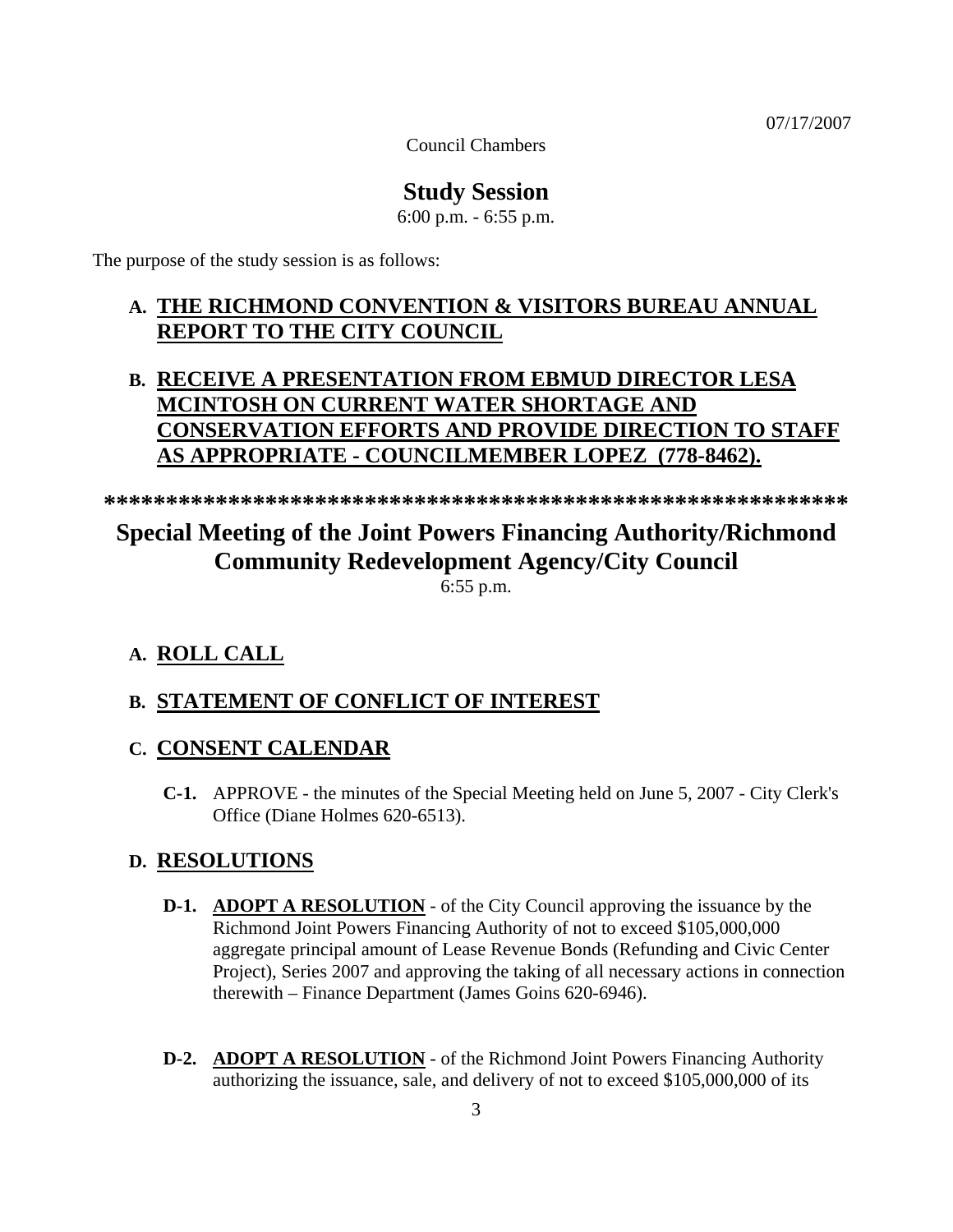07/17/2007

Council Chambers

## **Study Session**

6:00 p.m. - 6:55 p.m.

The purpose of the study session is as follows:

## **A. THE RICHMOND CONVENTION & VISITORS BUREAU ANNUAL REPORT TO THE CITY COUNCIL**

## **B. RECEIVE A PRESENTATION FROM EBMUD DIRECTOR LESA MCINTOSH ON CURRENT WATER SHORTAGE AND CONSERVATION EFFORTS AND PROVIDE DIRECTION TO STAFF AS APPROPRIATE - COUNCILMEMBER LOPEZ (778-8462).**

**\*\*\*\*\*\*\*\*\*\*\*\*\*\*\*\*\*\*\*\*\*\*\*\*\*\*\*\*\*\*\*\*\*\*\*\*\*\*\*\*\*\*\*\*\*\*\*\*\*\*\*\*\*\*\*\*\*\*\*\*** 

# **Special Meeting of the Joint Powers Financing Authority/Richmond Community Redevelopment Agency/City Council**

6:55 p.m.

#### **A. ROLL CALL**

#### **B. STATEMENT OF CONFLICT OF INTEREST**

#### **C. CONSENT CALENDAR**

 **C-1.** APPROVE - the minutes of the Special Meeting held on June 5, 2007 - City Clerk's Office (Diane Holmes 620-6513).

#### **D. RESOLUTIONS**

- **D-1. ADOPT A RESOLUTION** of the City Council approving the issuance by the Richmond Joint Powers Financing Authority of not to exceed \$105,000,000 aggregate principal amount of Lease Revenue Bonds (Refunding and Civic Center Project), Series 2007 and approving the taking of all necessary actions in connection therewith – Finance Department (James Goins 620-6946).
- **D-2. ADOPT A RESOLUTION** of the Richmond Joint Powers Financing Authority authorizing the issuance, sale, and delivery of not to exceed \$105,000,000 of its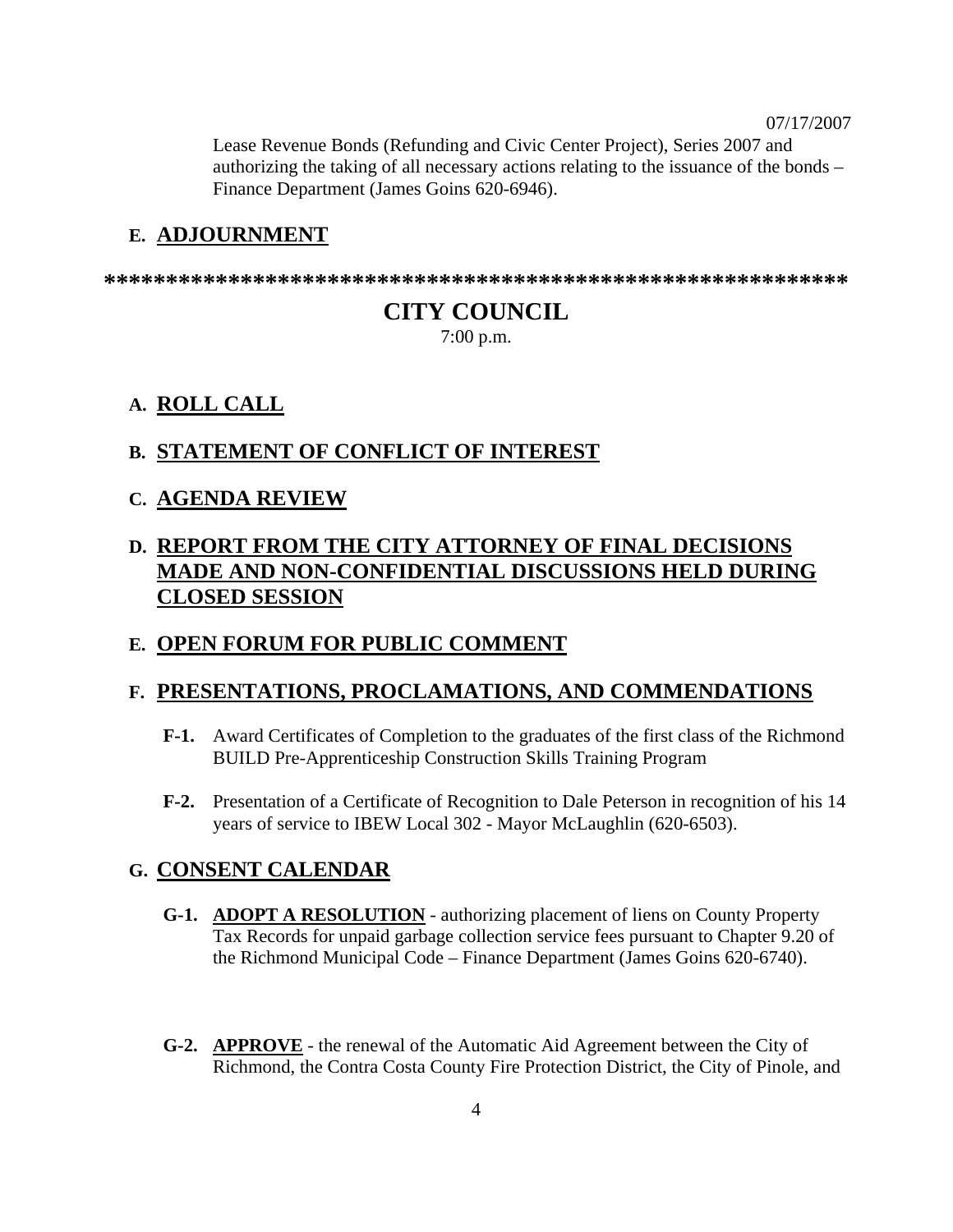07/17/2007

Lease Revenue Bonds (Refunding and Civic Center Project), Series 2007 and authorizing the taking of all necessary actions relating to the issuance of the bonds – Finance Department (James Goins 620-6946).

#### **E. ADJOURNMENT**

**\*\*\*\*\*\*\*\*\*\*\*\*\*\*\*\*\*\*\*\*\*\*\*\*\*\*\*\*\*\*\*\*\*\*\*\*\*\*\*\*\*\*\*\*\*\*\*\*\*\*\*\*\*\*\*\*\*\*\*\*** 

## **CITY COUNCIL**

7:00 p.m.

## **A. ROLL CALL**

#### **B. STATEMENT OF CONFLICT OF INTEREST**

#### **C. AGENDA REVIEW**

## **D. REPORT FROM THE CITY ATTORNEY OF FINAL DECISIONS MADE AND NON-CONFIDENTIAL DISCUSSIONS HELD DURING CLOSED SESSION**

## **E. OPEN FORUM FOR PUBLIC COMMENT**

#### **F. PRESENTATIONS, PROCLAMATIONS, AND COMMENDATIONS**

- **F-1.** Award Certificates of Completion to the graduates of the first class of the Richmond BUILD Pre-Apprenticeship Construction Skills Training Program
- **F-2.** Presentation of a Certificate of Recognition to Dale Peterson in recognition of his 14 years of service to IBEW Local 302 - Mayor McLaughlin (620-6503).

#### **G. CONSENT CALENDAR**

- **G-1. ADOPT A RESOLUTION** authorizing placement of liens on County Property Tax Records for unpaid garbage collection service fees pursuant to Chapter 9.20 of the Richmond Municipal Code – Finance Department (James Goins 620-6740).
- **G-2. APPROVE** the renewal of the Automatic Aid Agreement between the City of Richmond, the Contra Costa County Fire Protection District, the City of Pinole, and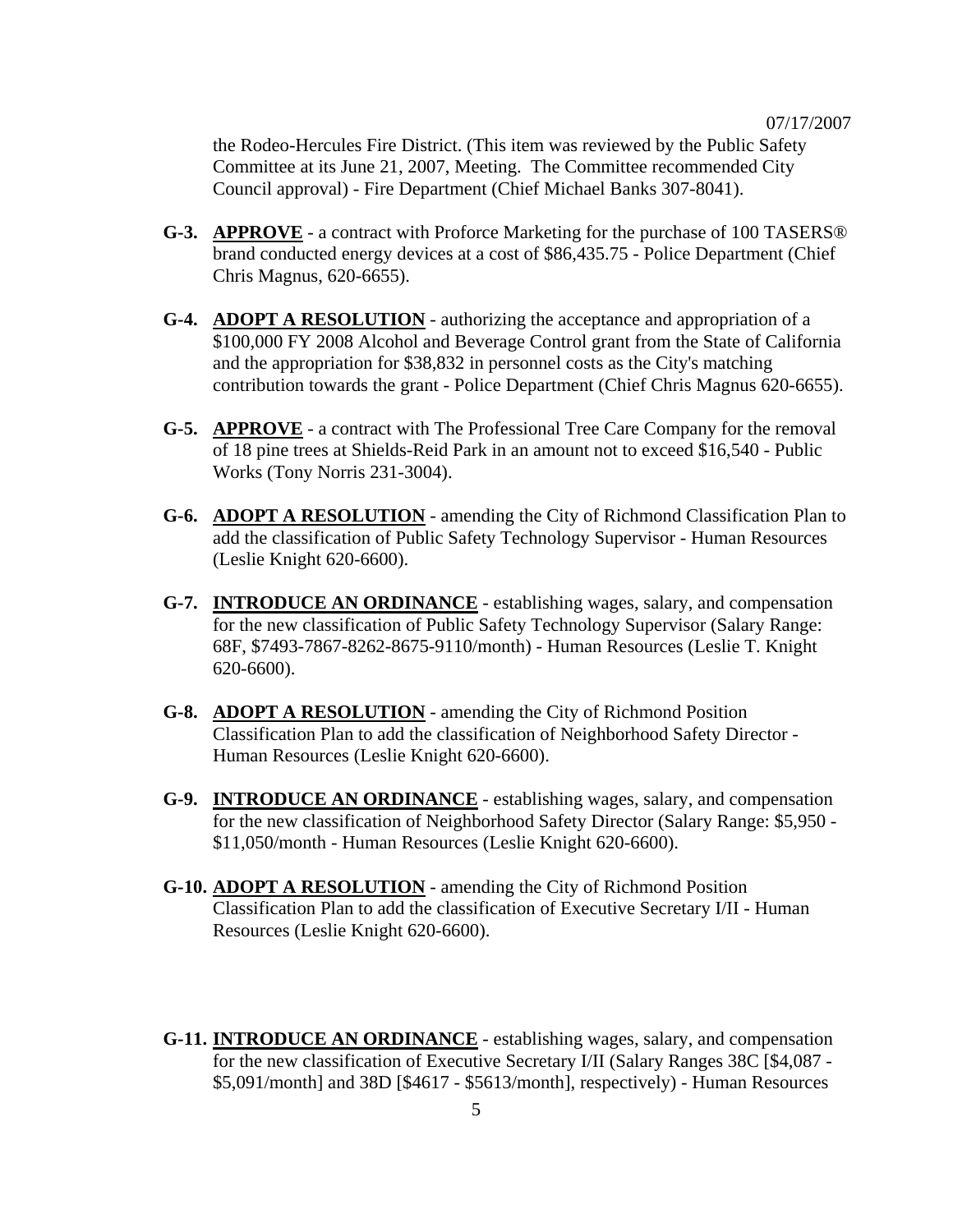the Rodeo-Hercules Fire District. (This item was reviewed by the Public Safety Committee at its June 21, 2007, Meeting. The Committee recommended City Council approval) - Fire Department (Chief Michael Banks 307-8041).

- **G-3. APPROVE** a contract with Proforce Marketing for the purchase of 100 TASERS® brand conducted energy devices at a cost of \$86,435.75 - Police Department (Chief Chris Magnus, 620-6655).
- **G-4. ADOPT A RESOLUTION** authorizing the acceptance and appropriation of a \$100,000 FY 2008 Alcohol and Beverage Control grant from the State of California and the appropriation for \$38,832 in personnel costs as the City's matching contribution towards the grant - Police Department (Chief Chris Magnus 620-6655).
- **G-5. APPROVE** a contract with The Professional Tree Care Company for the removal of 18 pine trees at Shields-Reid Park in an amount not to exceed \$16,540 - Public Works (Tony Norris 231-3004).
- **G-6. ADOPT A RESOLUTION** amending the City of Richmond Classification Plan to add the classification of Public Safety Technology Supervisor - Human Resources (Leslie Knight 620-6600).
- **G-7. INTRODUCE AN ORDINANCE** establishing wages, salary, and compensation for the new classification of Public Safety Technology Supervisor (Salary Range: 68F, \$7493-7867-8262-8675-9110/month) - Human Resources (Leslie T. Knight 620-6600).
- **G-8. ADOPT A RESOLUTION** amending the City of Richmond Position Classification Plan to add the classification of Neighborhood Safety Director - Human Resources (Leslie Knight 620-6600).
- **G-9. INTRODUCE AN ORDINANCE** establishing wages, salary, and compensation for the new classification of Neighborhood Safety Director (Salary Range: \$5,950 - \$11,050/month - Human Resources (Leslie Knight 620-6600).
- **G-10. ADOPT A RESOLUTION** amending the City of Richmond Position Classification Plan to add the classification of Executive Secretary I/II - Human Resources (Leslie Knight 620-6600).
- **G-11. INTRODUCE AN ORDINANCE** establishing wages, salary, and compensation for the new classification of Executive Secretary I/II (Salary Ranges 38C [\$4,087 - \$5,091/month] and 38D [\$4617 - \$5613/month], respectively) - Human Resources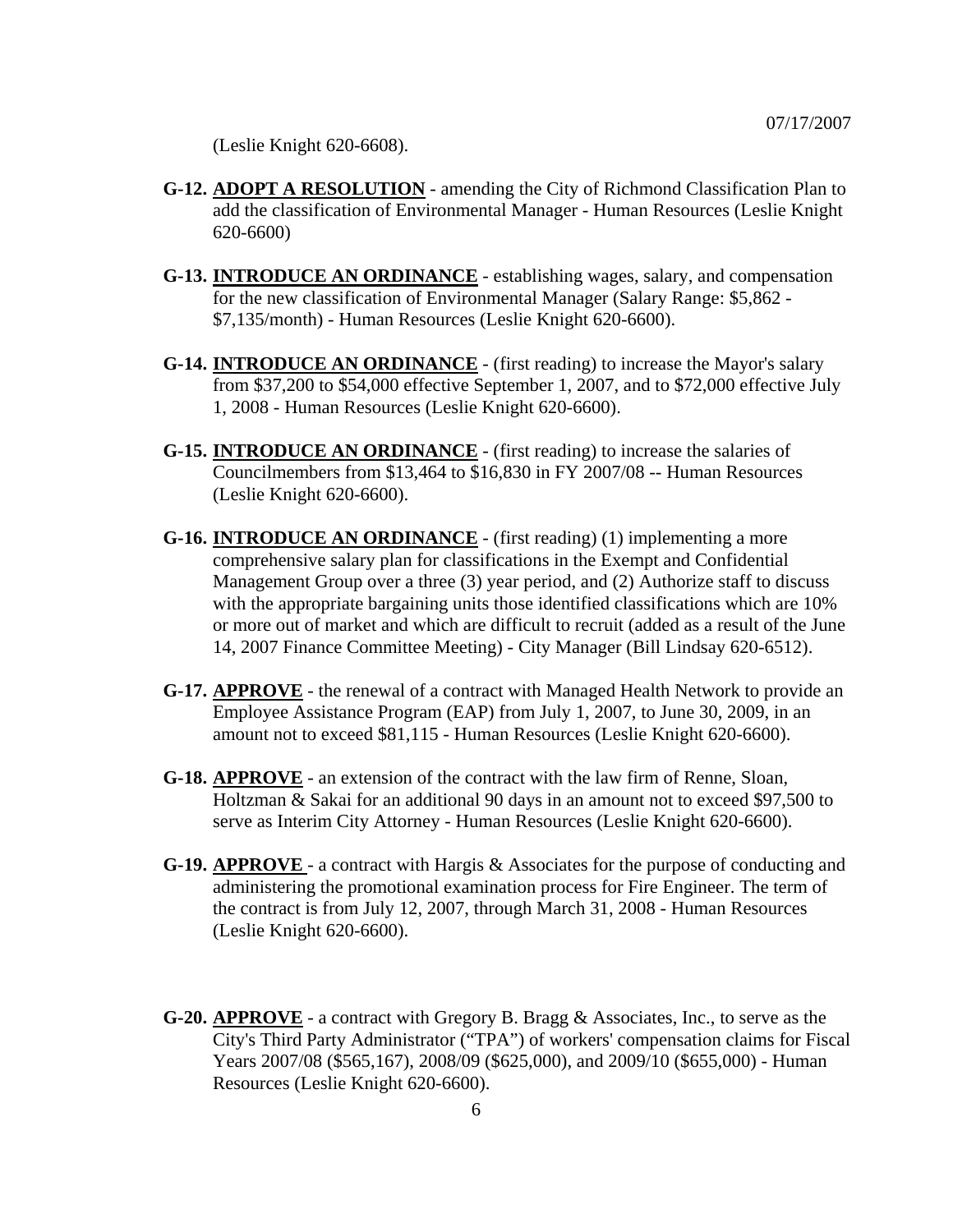(Leslie Knight 620-6608).

- **G-12. ADOPT A RESOLUTION** amending the City of Richmond Classification Plan to add the classification of Environmental Manager - Human Resources (Leslie Knight 620-6600)
- **G-13. INTRODUCE AN ORDINANCE** establishing wages, salary, and compensation for the new classification of Environmental Manager (Salary Range: \$5,862 - \$7,135/month) - Human Resources (Leslie Knight 620-6600).
- **G-14. INTRODUCE AN ORDINANCE** (first reading) to increase the Mayor's salary from \$37,200 to \$54,000 effective September 1, 2007, and to \$72,000 effective July 1, 2008 - Human Resources (Leslie Knight 620-6600).
- **G-15. INTRODUCE AN ORDINANCE** (first reading) to increase the salaries of Councilmembers from \$13,464 to \$16,830 in FY 2007/08 -- Human Resources (Leslie Knight 620-6600).
- **G-16. INTRODUCE AN ORDINANCE** (first reading) (1) implementing a more comprehensive salary plan for classifications in the Exempt and Confidential Management Group over a three (3) year period, and (2) Authorize staff to discuss with the appropriate bargaining units those identified classifications which are 10% or more out of market and which are difficult to recruit (added as a result of the June 14, 2007 Finance Committee Meeting) - City Manager (Bill Lindsay 620-6512).
- **G-17. APPROVE** the renewal of a contract with Managed Health Network to provide an Employee Assistance Program (EAP) from July 1, 2007, to June 30, 2009, in an amount not to exceed \$81,115 - Human Resources (Leslie Knight 620-6600).
- **G-18. APPROVE** an extension of the contract with the law firm of Renne, Sloan, Holtzman & Sakai for an additional 90 days in an amount not to exceed \$97,500 to serve as Interim City Attorney - Human Resources (Leslie Knight 620-6600).
- **G-19. APPROVE**  a contract with Hargis & Associates for the purpose of conducting and administering the promotional examination process for Fire Engineer. The term of the contract is from July 12, 2007, through March 31, 2008 - Human Resources (Leslie Knight 620-6600).
- **G-20. APPROVE** a contract with Gregory B. Bragg & Associates, Inc., to serve as the City's Third Party Administrator ("TPA") of workers' compensation claims for Fiscal Years 2007/08 (\$565,167), 2008/09 (\$625,000), and 2009/10 (\$655,000) - Human Resources (Leslie Knight 620-6600).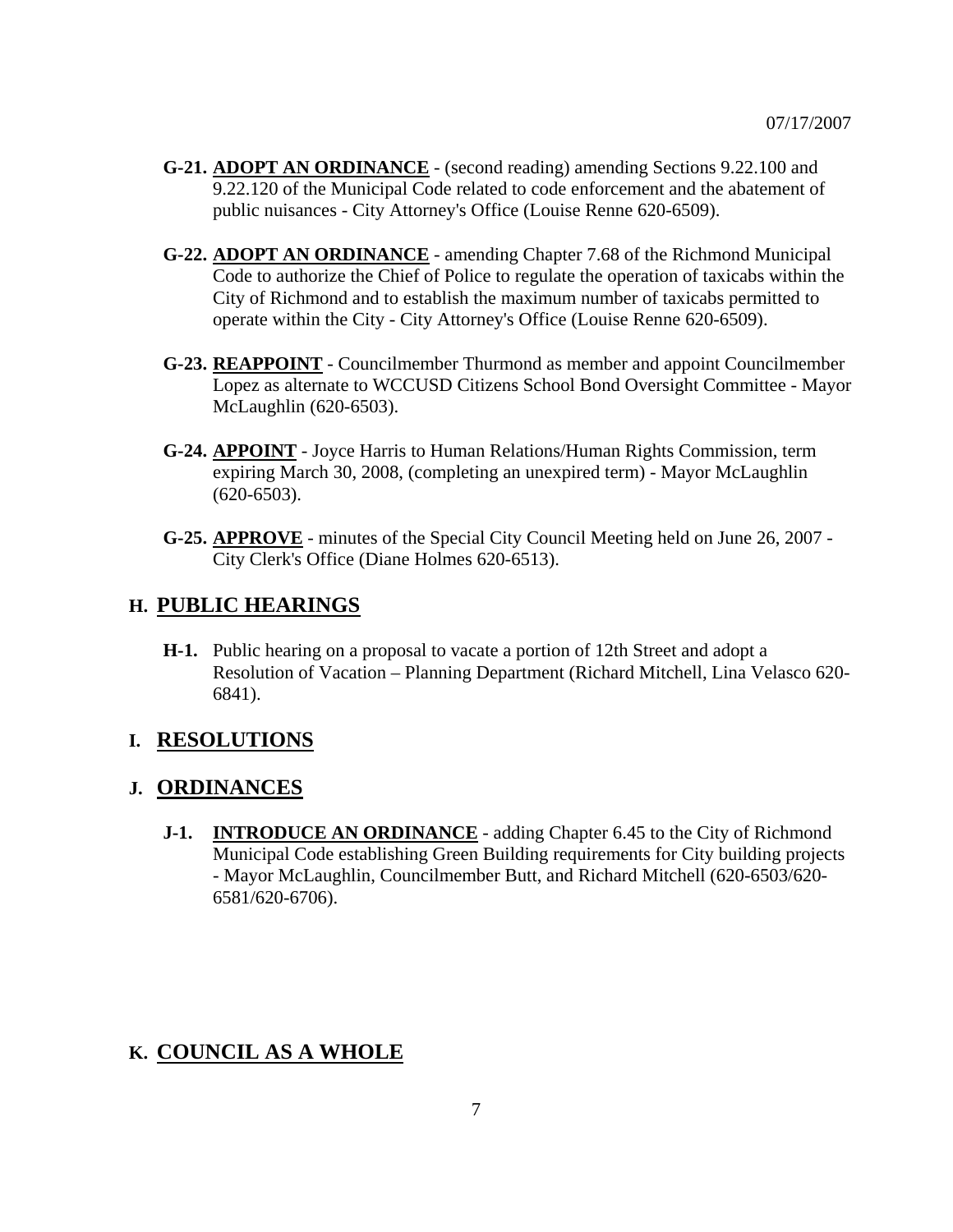- **G-21. ADOPT AN ORDINANCE** (second reading) amending Sections 9.22.100 and 9.22.120 of the Municipal Code related to code enforcement and the abatement of public nuisances - City Attorney's Office (Louise Renne 620-6509).
- **G-22. ADOPT AN ORDINANCE** amending Chapter 7.68 of the Richmond Municipal Code to authorize the Chief of Police to regulate the operation of taxicabs within the City of Richmond and to establish the maximum number of taxicabs permitted to operate within the City - City Attorney's Office (Louise Renne 620-6509).
- **G-23. REAPPOINT** Councilmember Thurmond as member and appoint Councilmember Lopez as alternate to WCCUSD Citizens School Bond Oversight Committee - Mayor McLaughlin (620-6503).
- **G-24. APPOINT** Joyce Harris to Human Relations/Human Rights Commission, term expiring March 30, 2008, (completing an unexpired term) - Mayor McLaughlin (620-6503).
- **G-25. APPROVE** minutes of the Special City Council Meeting held on June 26, 2007 City Clerk's Office (Diane Holmes 620-6513).

#### **H. PUBLIC HEARINGS**

 **H-1.** Public hearing on a proposal to vacate a portion of 12th Street and adopt a Resolution of Vacation – Planning Department (Richard Mitchell, Lina Velasco 620- 6841).

#### **I. RESOLUTIONS**

#### **J. ORDINANCES**

 **J-1. INTRODUCE AN ORDINANCE** - adding Chapter 6.45 to the City of Richmond Municipal Code establishing Green Building requirements for City building projects - Mayor McLaughlin, Councilmember Butt, and Richard Mitchell (620-6503/620- 6581/620-6706).

## **K. COUNCIL AS A WHOLE**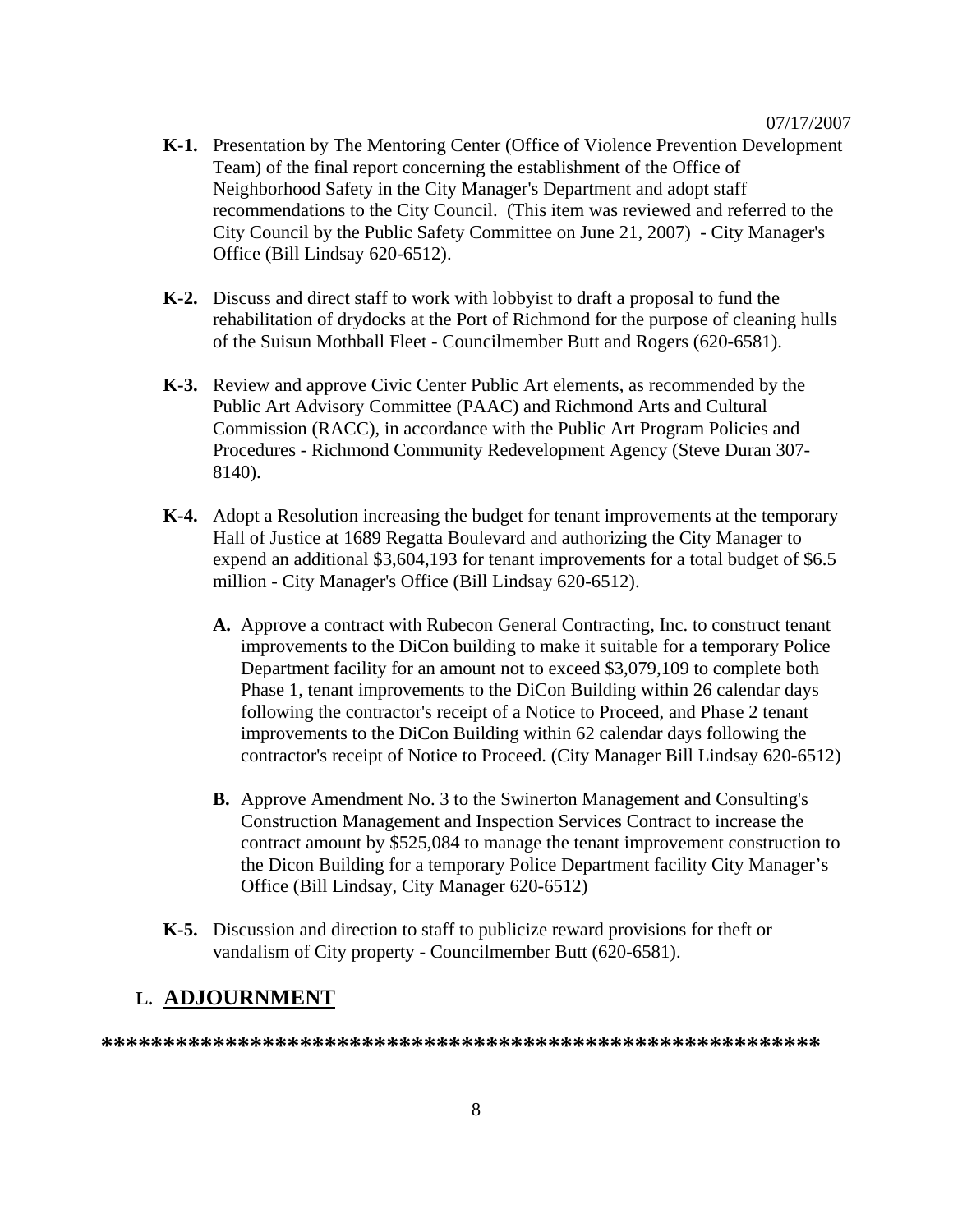- **K-1.** Presentation by The Mentoring Center (Office of Violence Prevention Development Team) of the final report concerning the establishment of the Office of Neighborhood Safety in the City Manager's Department and adopt staff recommendations to the City Council. (This item was reviewed and referred to the City Council by the Public Safety Committee on June 21, 2007) - City Manager's Office (Bill Lindsay 620-6512).
- **K-2.** Discuss and direct staff to work with lobbyist to draft a proposal to fund the rehabilitation of drydocks at the Port of Richmond for the purpose of cleaning hulls of the Suisun Mothball Fleet - Councilmember Butt and Rogers (620-6581).
- **K-3.** Review and approve Civic Center Public Art elements, as recommended by the Public Art Advisory Committee (PAAC) and Richmond Arts and Cultural Commission (RACC), in accordance with the Public Art Program Policies and Procedures - Richmond Community Redevelopment Agency (Steve Duran 307- 8140).
- **K-4.** Adopt a Resolution increasing the budget for tenant improvements at the temporary Hall of Justice at 1689 Regatta Boulevard and authorizing the City Manager to expend an additional \$3,604,193 for tenant improvements for a total budget of \$6.5 million - City Manager's Office (Bill Lindsay 620-6512).
	- **A.** Approve a contract with Rubecon General Contracting, Inc. to construct tenant improvements to the DiCon building to make it suitable for a temporary Police Department facility for an amount not to exceed \$3,079,109 to complete both Phase 1, tenant improvements to the DiCon Building within 26 calendar days following the contractor's receipt of a Notice to Proceed, and Phase 2 tenant improvements to the DiCon Building within 62 calendar days following the contractor's receipt of Notice to Proceed. (City Manager Bill Lindsay 620-6512)
	- **B.** Approve Amendment No. 3 to the Swinerton Management and Consulting's Construction Management and Inspection Services Contract to increase the contract amount by \$525,084 to manage the tenant improvement construction to the Dicon Building for a temporary Police Department facility City Manager's Office (Bill Lindsay, City Manager 620-6512)
- **K-5.** Discussion and direction to staff to publicize reward provisions for theft or vandalism of City property - Councilmember Butt (620-6581).

#### **L. ADJOURNMENT**

**\*\*\*\*\*\*\*\*\*\*\*\*\*\*\*\*\*\*\*\*\*\*\*\*\*\*\*\*\*\*\*\*\*\*\*\*\*\*\*\*\*\*\*\*\*\*\*\*\*\*\*\*\*\*\*\*\*\***